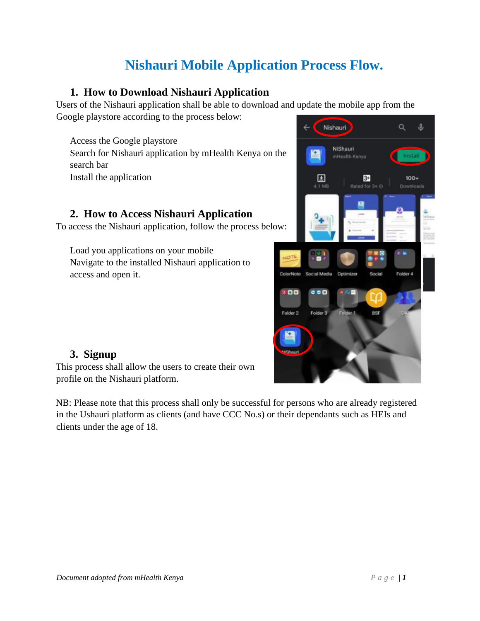# **Nishauri Mobile Application Process Flow.**

### **1. How to Download Nishauri Application**

Users of the Nishauri application shall be able to download and update the mobile app from the Google playstore according to the process below:

Access the Google playstore Search for Nishauri application by mHealth Kenya on the search bar Install the application

### **2. How to Access Nishauri Application**

To access the Nishauri application, follow the process below:

Load you applications on your mobile Navigate to the installed Nishauri application to access and open it.



### **3. Signup**

This process shall allow the users to create their own profile on the Nishauri platform.

NB: Please note that this process shall only be successful for persons who are already registered in the Ushauri platform as clients (and have CCC No.s) or their dependants such as HEIs and clients under the age of 18.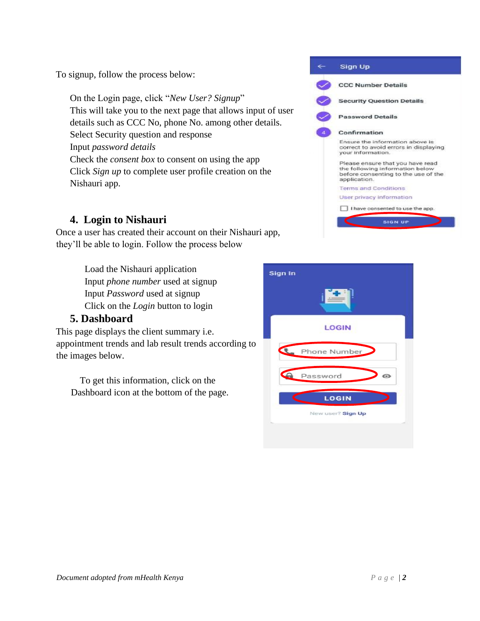To signup, follow the process below:

On the Login page, click "*New User? Signup*" This will take you to the next page that allows input of user details such as CCC No, phone No. among other details. Select Security question and response Input *password details* Check the *consent box* to consent on using the app Click *Sign up* to complete user profile creation on the Nishauri app.

### **4. Login to Nishauri**

Once a user has created their account on their Nishauri app, they'll be able to login. Follow the process below

> Load the Nishauri application Input *phone number* used at signup Input *Password* used at signup Click on the *Login* button to login

#### **5. Dashboard**

This page displays the client summary i.e. appointment trends and lab result trends according to the images below.

 To get this information, click on the Dashboard icon at the bottom of the page.



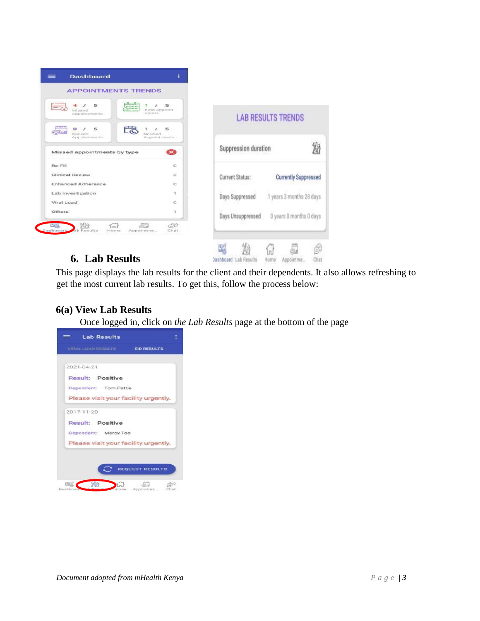

## **6. Lab Results**

This page displays the lab results for the client and their dependents. It also allows refreshing to get the most current lab results. To get this, follow the process below:

Dashboard Lab Results Home Appointme...

沿

6

Chat

### **6(a) View Lab Results**

Once logged in, click on *the Lab Results* page at the bottom of the page

| <b>Lab Results</b><br>= =            | Ξ                      |
|--------------------------------------|------------------------|
| VIRAL LOAD RESULTS EID RESULTS       |                        |
|                                      |                        |
| 2021-04-21                           |                        |
| Result: Positive                     |                        |
| Dependant: Tom Pattie                |                        |
| Please visit your facility urgently. |                        |
| 2017-11-20                           |                        |
|                                      |                        |
| <b>Result: Positive</b>              |                        |
| Dependant: Mercy Too                 |                        |
| Please visit your facility urgently. |                        |
|                                      |                        |
|                                      |                        |
|                                      | <b>REQUEST RESULTS</b> |
|                                      |                        |
| Dashboar                             | Chat<br>Appointme      |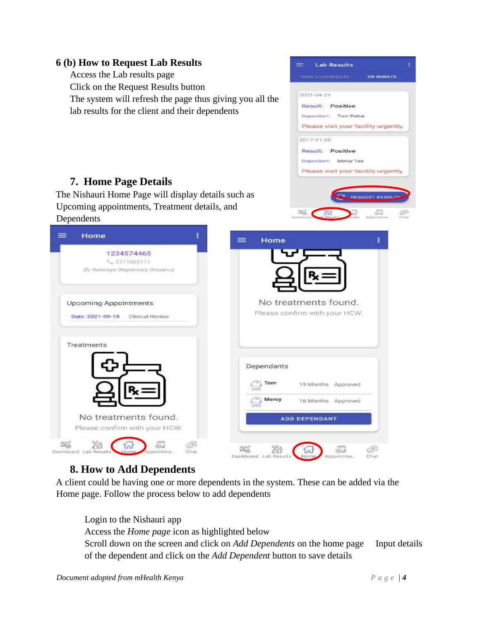#### **6 (b) How to Request Lab Results Lab Results** Access the Lab results page **EID RESULTS** Click on the Request Results button 2021-04-21 The system will refresh the page thus giving you all the Result: Positive lab results for the client and their dependents Dependant: Tom Pattie Please visit your facility urgently. 2017-11-20 **Result: Positive** Dependant: Mercy Too Please visit your facility urgently. **7. Home Page Details** The Nishauri Home Page will display details such as **QUEST RESU** Upcoming appointments, Treatment details, and Dependents  $=$ Home ŧ  $\equiv$ Home 1234574465 € 0711000111 此 Railways Dispensary (Kisumu) No treatments found. **Upcoming Appointments** Please confirm with your HCW. Date: 2021-09-18 Clinical Review Treatments Dependants 19 Months Approved 16 Months Approved No treatments found. ADD DEPENDANT Please confirm with your HCW. 焰 S. 59 fru 떠서 沿 5. G. *<u>und</u>* Dashboard Dashboard Lab

# **8. How to Add Dependents**

A client could be having one or more dependents in the system. These can be added via the Home page. Follow the process below to add dependents

Login to the Nishauri app Access the *Home page* icon as highlighted below Scroll down on the screen and click on *Add Dependents* on the home page Input details of the dependent and click on the *Add Dependent* button to save details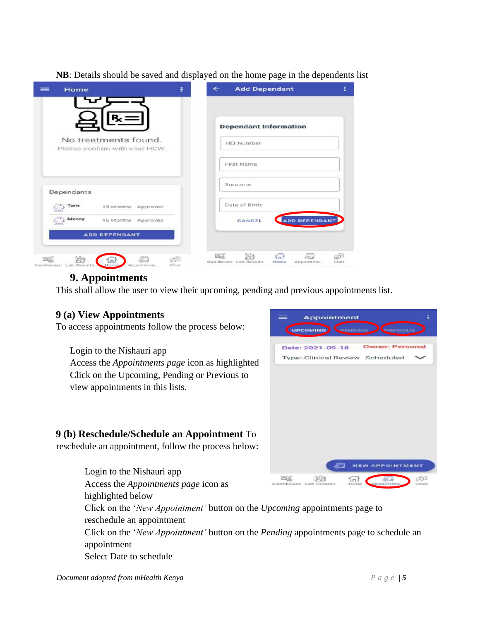|  |  |  |  |  | NB: Details should be saved and displayed on the home page in the dependents list |  |
|--|--|--|--|--|-----------------------------------------------------------------------------------|--|
|  |  |  |  |  |                                                                                   |  |
|  |  |  |  |  |                                                                                   |  |

| ÷<br>Home<br>$=$                                                             | <b>Add Dependant</b><br>$\leftarrow$                                                     |
|------------------------------------------------------------------------------|------------------------------------------------------------------------------------------|
|                                                                              | <b>Dependant Information</b>                                                             |
| No treatments found.<br>Please confirm with your HCW.                        | <b>HEI Number</b>                                                                        |
|                                                                              | First Name                                                                               |
| Dependants                                                                   | Surname                                                                                  |
| Tom<br>19 Months Approved                                                    | Date of Birth                                                                            |
| Mercy<br>16 Months Approved                                                  | ADD DEPENDANT<br>CANCEL                                                                  |
| <b>ADD DEPENDANT</b>                                                         |                                                                                          |
| ESCO.<br>49<br>l rail<br>Dashboard, Lab Results<br>Home<br>Appointme<br>Chat | EQ<br>兴守<br>do 2<br>ÉĒ<br>$\{n\}$<br>Dashboard, Lab Results<br>Home<br>Chat<br>Appointme |

## **9. Appointments**

This shall allow the user to view their upcoming, pending and previous appointments list.

### **9 (a) View Appointments**

To access appointments follow the process below:

Login to the Nishauri app Access the *Appointments page* icon as highlighted Click on the Upcoming, Pending or Previous to view appointments in this lists.

#### **9 (b) Reschedule/Schedule an Appointment** To

reschedule an appointment, follow the process below:

Login to the Nishauri app 沿 **ESCO**  $\left\{ \widehat{n} \right\}$ Æ Access the *Appointments page* icon as highlighted below Click on the '*New Appointment'* button on the *Upcoming* appointments page to reschedule an appointment Click on the '*New Appointment'* button on the *Pending* appointments page to schedule an appointment Select Date to schedule

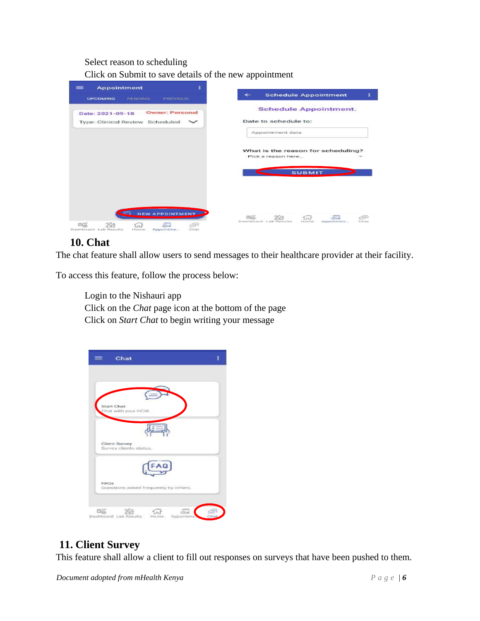#### Select reason to scheduling

Click on Submit to save details of the new appointment

| ٤<br><b>Appointment</b><br>≡                         | $\leftarrow$                                                            |
|------------------------------------------------------|-------------------------------------------------------------------------|
| <b>PREVIOUS</b><br><b>UPCOMING</b><br><b>PENDING</b> | <b>Schedule Appointment</b>                                             |
| <b>Owner: Personal</b><br>Date: 2021-09-18           | <b>Schedule Appointment.</b>                                            |
| Type: Clinical Review Scheduled                      | Date to schedule to:                                                    |
|                                                      | Appointment date                                                        |
|                                                      |                                                                         |
|                                                      | What is the reason for scheduling?<br>Pick a reason here                |
|                                                      |                                                                         |
|                                                      | <b>SUBMIT</b>                                                           |
|                                                      |                                                                         |
|                                                      |                                                                         |
|                                                      |                                                                         |
| NEW APPOINTMENT                                      |                                                                         |
|                                                      | <b>PECS</b><br>ŚF<br>Dashboard Lab Results<br>Chat<br>Home<br>Appointme |
|                                                      |                                                                         |

### **10. Chat**

The chat feature shall allow users to send messages to their healthcare provider at their facility.

To access this feature, follow the process below:

Login to the Nishauri app Click on the *Chat* page icon at the bottom of the page Click on *Start Chat* to begin writing your message

### **11. Client Survey**

This feature shall allow a client to fill out responses on surveys that have been pushed to them.